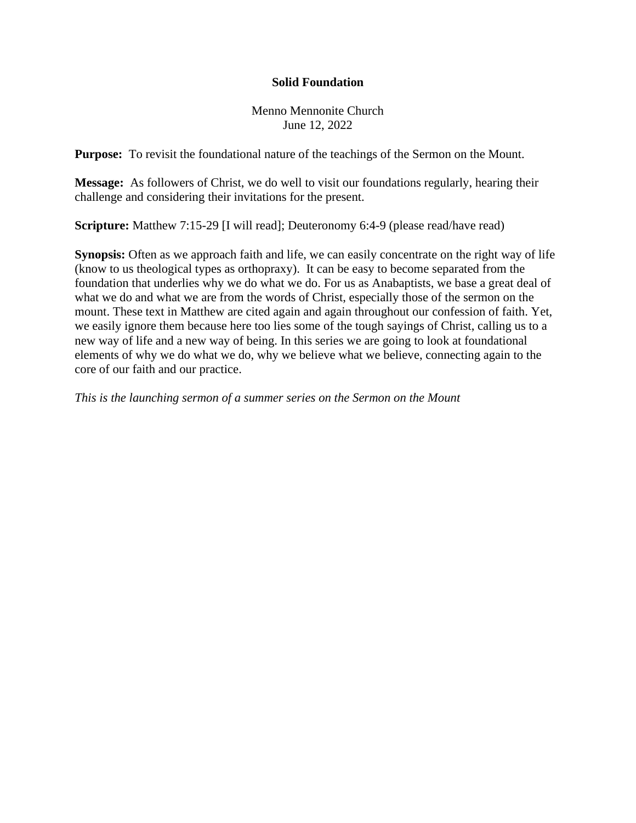## **Solid Foundation**

Menno Mennonite Church June 12, 2022

**Purpose:** To revisit the foundational nature of the teachings of the Sermon on the Mount.

**Message:** As followers of Christ, we do well to visit our foundations regularly, hearing their challenge and considering their invitations for the present.

**Scripture:** Matthew 7:15-29 [I will read]; Deuteronomy 6:4-9 (please read/have read)

**Synopsis:** Often as we approach faith and life, we can easily concentrate on the right way of life (know to us theological types as orthopraxy). It can be easy to become separated from the foundation that underlies why we do what we do. For us as Anabaptists, we base a great deal of what we do and what we are from the words of Christ, especially those of the sermon on the mount. These text in Matthew are cited again and again throughout our confession of faith. Yet, we easily ignore them because here too lies some of the tough sayings of Christ, calling us to a new way of life and a new way of being. In this series we are going to look at foundational elements of why we do what we do, why we believe what we believe, connecting again to the core of our faith and our practice.

*This is the launching sermon of a summer series on the Sermon on the Mount*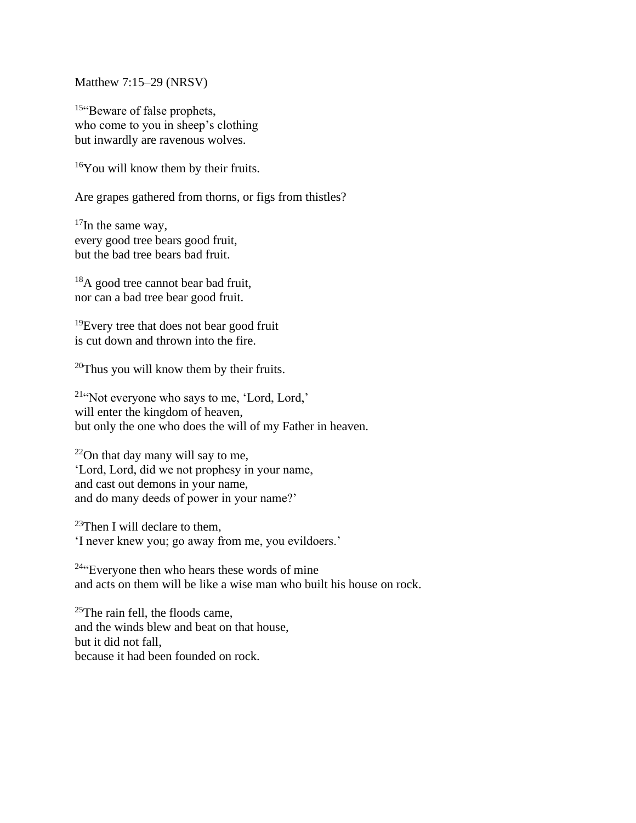Matthew 7:15–29 (NRSV)

<sup>15"</sup>Beware of false prophets, who come to you in sheep's clothing but inwardly are ravenous wolves.

 $16$ You will know them by their fruits.

Are grapes gathered from thorns, or figs from thistles?

 $17$ In the same way, every good tree bears good fruit, but the bad tree bears bad fruit.

<sup>18</sup>A good tree cannot bear bad fruit, nor can a bad tree bear good fruit.

 $19$ Every tree that does not bear good fruit is cut down and thrown into the fire.

 $20$ Thus you will know them by their fruits.

<sup>21</sup>"Not everyone who says to me, 'Lord, Lord,' will enter the kingdom of heaven, but only the one who does the will of my Father in heaven.

<sup>22</sup>On that day many will say to me, 'Lord, Lord, did we not prophesy in your name, and cast out demons in your name, and do many deeds of power in your name?'

<sup>23</sup>Then I will declare to them, 'I never knew you; go away from me, you evildoers.'

<sup>24</sup>"Everyone then who hears these words of mine and acts on them will be like a wise man who built his house on rock.

 $^{25}$ The rain fell, the floods came, and the winds blew and beat on that house, but it did not fall, because it had been founded on rock.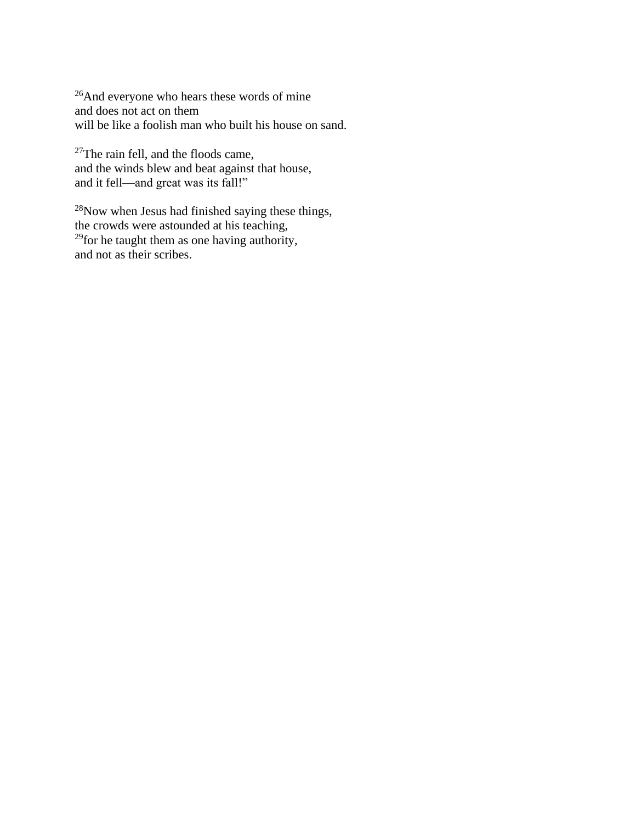<sup>26</sup>And everyone who hears these words of mine and does not act on them will be like a foolish man who built his house on sand.

 $27$ The rain fell, and the floods came, and the winds blew and beat against that house, and it fell—and great was its fall!"

<sup>28</sup>Now when Jesus had finished saying these things, the crowds were astounded at his teaching,  $29$  for he taught them as one having authority, and not as their scribes.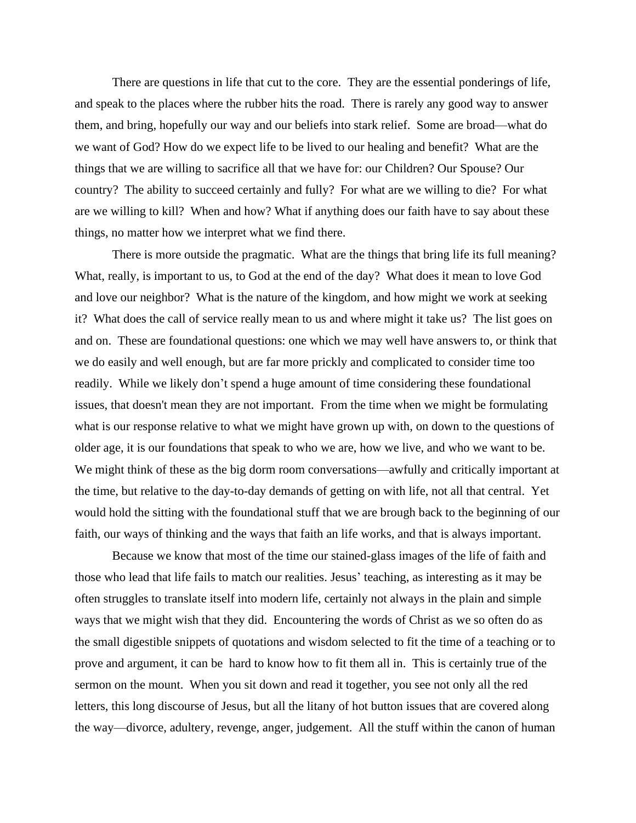There are questions in life that cut to the core. They are the essential ponderings of life, and speak to the places where the rubber hits the road. There is rarely any good way to answer them, and bring, hopefully our way and our beliefs into stark relief. Some are broad—what do we want of God? How do we expect life to be lived to our healing and benefit? What are the things that we are willing to sacrifice all that we have for: our Children? Our Spouse? Our country? The ability to succeed certainly and fully? For what are we willing to die? For what are we willing to kill? When and how? What if anything does our faith have to say about these things, no matter how we interpret what we find there.

There is more outside the pragmatic. What are the things that bring life its full meaning? What, really, is important to us, to God at the end of the day? What does it mean to love God and love our neighbor? What is the nature of the kingdom, and how might we work at seeking it? What does the call of service really mean to us and where might it take us? The list goes on and on. These are foundational questions: one which we may well have answers to, or think that we do easily and well enough, but are far more prickly and complicated to consider time too readily. While we likely don't spend a huge amount of time considering these foundational issues, that doesn't mean they are not important. From the time when we might be formulating what is our response relative to what we might have grown up with, on down to the questions of older age, it is our foundations that speak to who we are, how we live, and who we want to be. We might think of these as the big dorm room conversations—awfully and critically important at the time, but relative to the day-to-day demands of getting on with life, not all that central. Yet would hold the sitting with the foundational stuff that we are brough back to the beginning of our faith, our ways of thinking and the ways that faith an life works, and that is always important.

Because we know that most of the time our stained-glass images of the life of faith and those who lead that life fails to match our realities. Jesus' teaching, as interesting as it may be often struggles to translate itself into modern life, certainly not always in the plain and simple ways that we might wish that they did. Encountering the words of Christ as we so often do as the small digestible snippets of quotations and wisdom selected to fit the time of a teaching or to prove and argument, it can be hard to know how to fit them all in. This is certainly true of the sermon on the mount. When you sit down and read it together, you see not only all the red letters, this long discourse of Jesus, but all the litany of hot button issues that are covered along the way—divorce, adultery, revenge, anger, judgement. All the stuff within the canon of human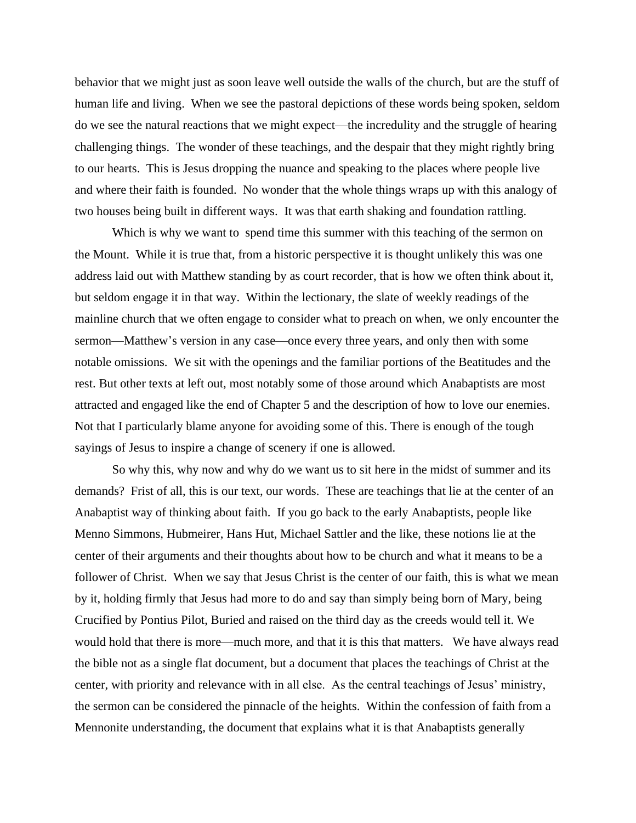behavior that we might just as soon leave well outside the walls of the church, but are the stuff of human life and living. When we see the pastoral depictions of these words being spoken, seldom do we see the natural reactions that we might expect—the incredulity and the struggle of hearing challenging things. The wonder of these teachings, and the despair that they might rightly bring to our hearts. This is Jesus dropping the nuance and speaking to the places where people live and where their faith is founded. No wonder that the whole things wraps up with this analogy of two houses being built in different ways. It was that earth shaking and foundation rattling.

Which is why we want to spend time this summer with this teaching of the sermon on the Mount. While it is true that, from a historic perspective it is thought unlikely this was one address laid out with Matthew standing by as court recorder, that is how we often think about it, but seldom engage it in that way. Within the lectionary, the slate of weekly readings of the mainline church that we often engage to consider what to preach on when, we only encounter the sermon—Matthew's version in any case—once every three years, and only then with some notable omissions. We sit with the openings and the familiar portions of the Beatitudes and the rest. But other texts at left out, most notably some of those around which Anabaptists are most attracted and engaged like the end of Chapter 5 and the description of how to love our enemies. Not that I particularly blame anyone for avoiding some of this. There is enough of the tough sayings of Jesus to inspire a change of scenery if one is allowed.

So why this, why now and why do we want us to sit here in the midst of summer and its demands? Frist of all, this is our text, our words. These are teachings that lie at the center of an Anabaptist way of thinking about faith. If you go back to the early Anabaptists, people like Menno Simmons, Hubmeirer, Hans Hut, Michael Sattler and the like, these notions lie at the center of their arguments and their thoughts about how to be church and what it means to be a follower of Christ. When we say that Jesus Christ is the center of our faith, this is what we mean by it, holding firmly that Jesus had more to do and say than simply being born of Mary, being Crucified by Pontius Pilot, Buried and raised on the third day as the creeds would tell it. We would hold that there is more—much more, and that it is this that matters. We have always read the bible not as a single flat document, but a document that places the teachings of Christ at the center, with priority and relevance with in all else. As the central teachings of Jesus' ministry, the sermon can be considered the pinnacle of the heights. Within the confession of faith from a Mennonite understanding, the document that explains what it is that Anabaptists generally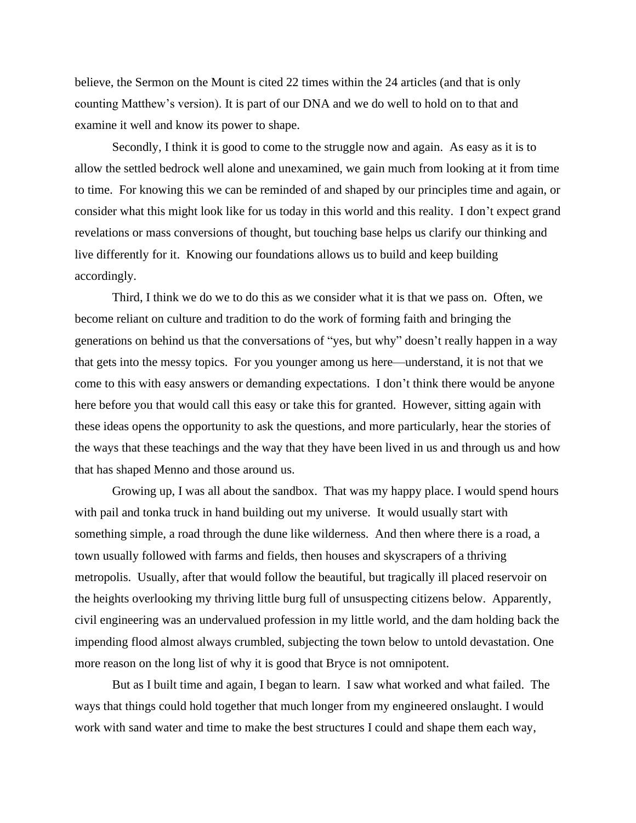believe, the Sermon on the Mount is cited 22 times within the 24 articles (and that is only counting Matthew's version). It is part of our DNA and we do well to hold on to that and examine it well and know its power to shape.

Secondly, I think it is good to come to the struggle now and again. As easy as it is to allow the settled bedrock well alone and unexamined, we gain much from looking at it from time to time. For knowing this we can be reminded of and shaped by our principles time and again, or consider what this might look like for us today in this world and this reality. I don't expect grand revelations or mass conversions of thought, but touching base helps us clarify our thinking and live differently for it. Knowing our foundations allows us to build and keep building accordingly.

Third, I think we do we to do this as we consider what it is that we pass on. Often, we become reliant on culture and tradition to do the work of forming faith and bringing the generations on behind us that the conversations of "yes, but why" doesn't really happen in a way that gets into the messy topics. For you younger among us here—understand, it is not that we come to this with easy answers or demanding expectations. I don't think there would be anyone here before you that would call this easy or take this for granted. However, sitting again with these ideas opens the opportunity to ask the questions, and more particularly, hear the stories of the ways that these teachings and the way that they have been lived in us and through us and how that has shaped Menno and those around us.

Growing up, I was all about the sandbox. That was my happy place. I would spend hours with pail and tonka truck in hand building out my universe. It would usually start with something simple, a road through the dune like wilderness. And then where there is a road, a town usually followed with farms and fields, then houses and skyscrapers of a thriving metropolis. Usually, after that would follow the beautiful, but tragically ill placed reservoir on the heights overlooking my thriving little burg full of unsuspecting citizens below. Apparently, civil engineering was an undervalued profession in my little world, and the dam holding back the impending flood almost always crumbled, subjecting the town below to untold devastation. One more reason on the long list of why it is good that Bryce is not omnipotent.

But as I built time and again, I began to learn. I saw what worked and what failed. The ways that things could hold together that much longer from my engineered onslaught. I would work with sand water and time to make the best structures I could and shape them each way,